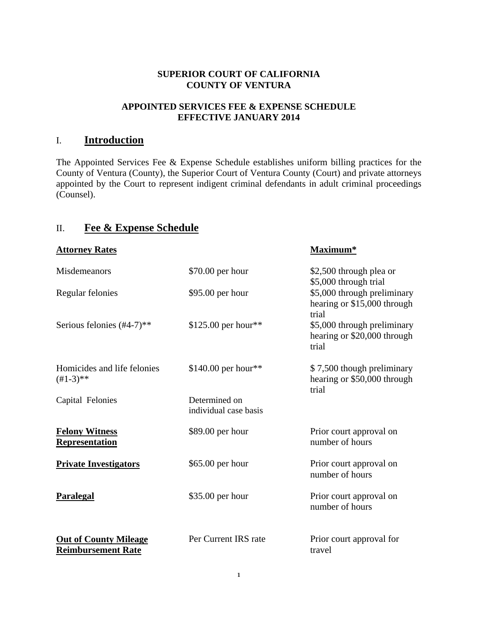#### **SUPERIOR COURT OF CALIFORNIA COUNTY OF VENTURA**

#### **APPOINTED SERVICES FEE & EXPENSE SCHEDULE EFFECTIVE JANUARY 2014**

# I. **Introduction**

The Appointed Services Fee & Expense Schedule establishes uniform billing practices for the County of Ventura (County), the Superior Court of Ventura County (Court) and private attorneys appointed by the Court to represent indigent criminal defendants in adult criminal proceedings (Counsel).

# II. **Fee & Expense Schedule**

| <b>Attorney Rates</b>                                     |                                        | Maximum*                                                            |
|-----------------------------------------------------------|----------------------------------------|---------------------------------------------------------------------|
| <b>Misdemeanors</b>                                       | \$70.00 per hour                       | \$2,500 through plea or<br>\$5,000 through trial                    |
| Regular felonies                                          | \$95.00 per hour                       | \$5,000 through preliminary<br>hearing or \$15,000 through<br>trial |
| Serious felonies $(\#4-7)$ **                             | \$125.00 per hour**                    | \$5,000 through preliminary<br>hearing or \$20,000 through<br>trial |
| Homicides and life felonies<br>$(+1-3)**$                 | \$140.00 per hour**                    | \$7,500 though preliminary<br>hearing or \$50,000 through<br>trial  |
| Capital Felonies                                          | Determined on<br>individual case basis |                                                                     |
| <b>Felony Witness</b><br><b>Representation</b>            | \$89.00 per hour                       | Prior court approval on<br>number of hours                          |
| <b>Private Investigators</b>                              | \$65.00 per hour                       | Prior court approval on<br>number of hours                          |
| <b>Paralegal</b>                                          | \$35.00 per hour                       | Prior court approval on<br>number of hours                          |
| <b>Out of County Mileage</b><br><b>Reimbursement Rate</b> | Per Current IRS rate                   | Prior court approval for<br>travel                                  |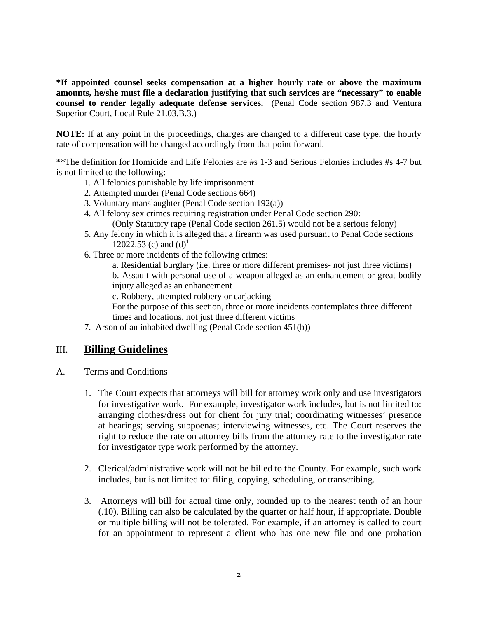**\*If appointed counsel seeks compensation at a higher hourly rate or above the maximum amounts, he/she must file a declaration justifying that such services are "necessary" to enable counsel to render legally adequate defense services.** (Penal Code section 987.3 and Ventura Superior Court, Local Rule 21.03.B.3.)

**NOTE:** If at any point in the proceedings, charges are changed to a different case type, the hourly rate of compensation will be changed accordingly from that point forward.

\*\*The definition for Homicide and Life Felonies are #s 1-3 and Serious Felonies includes #s 4-7 but is not limited to the following:

- 1. All felonies punishable by life imprisonment
- 2. Attempted murder (Penal Code sections 664)
- 3. Voluntary manslaughter (Penal Code section 192(a))
- 4. All felony sex crimes requiring registration under Penal Code section 290:

(Only Statutory rape (Penal Code section 261.5) would not be a serious felony)

- 5. Any felony in which it is alleged that a firearm was used pursuant to Penal Code sections 12022.53 (c) and  $(d)^{1}$
- 6. Three or more incidents of the following crimes:

 a. Residential burglary (i.e. three or more different premises- not just three victims) b. Assault with personal use of a weapon alleged as an enhancement or great bodily injury alleged as an enhancement

c. Robbery, attempted robbery or carjacking

 For the purpose of this section, three or more incidents contemplates three different times and locations, not just three different victims

7. Arson of an inhabited dwelling (Penal Code section 451(b))

# III. **Billing Guidelines**

A. Terms and Conditions

<u> 1989 - Jan Samuel Barbara, político establecido de la provincia de la provincia de la provincia de la provinci</u>

- 1. The Court expects that attorneys will bill for attorney work only and use investigators for investigative work. For example, investigator work includes, but is not limited to: arranging clothes/dress out for client for jury trial; coordinating witnesses' presence at hearings; serving subpoenas; interviewing witnesses, etc. The Court reserves the right to reduce the rate on attorney bills from the attorney rate to the investigator rate for investigator type work performed by the attorney.
- 2. Clerical/administrative work will not be billed to the County. For example, such work includes, but is not limited to: filing, copying, scheduling, or transcribing.
- 3. Attorneys will bill for actual time only, rounded up to the nearest tenth of an hour (.10). Billing can also be calculated by the quarter or half hour, if appropriate. Double or multiple billing will not be tolerated. For example, if an attorney is called to court for an appointment to represent a client who has one new file and one probation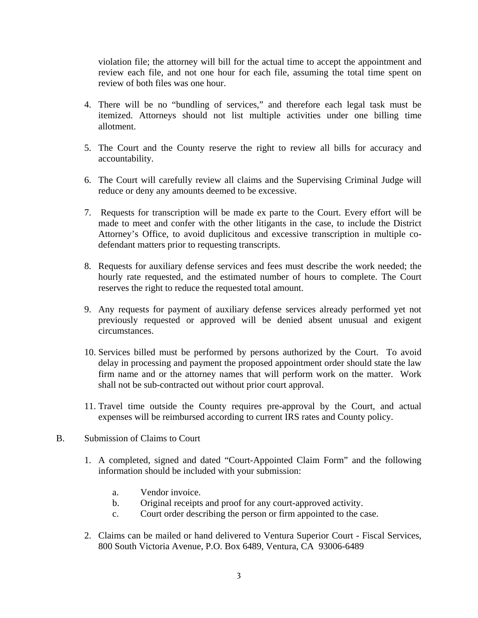violation file; the attorney will bill for the actual time to accept the appointment and review each file, and not one hour for each file, assuming the total time spent on review of both files was one hour.

- 4. There will be no "bundling of services," and therefore each legal task must be itemized. Attorneys should not list multiple activities under one billing time allotment.
- 5. The Court and the County reserve the right to review all bills for accuracy and accountability.
- 6. The Court will carefully review all claims and the Supervising Criminal Judge will reduce or deny any amounts deemed to be excessive.
- 7. Requests for transcription will be made ex parte to the Court. Every effort will be made to meet and confer with the other litigants in the case, to include the District Attorney's Office, to avoid duplicitous and excessive transcription in multiple codefendant matters prior to requesting transcripts.
- 8. Requests for auxiliary defense services and fees must describe the work needed; the hourly rate requested, and the estimated number of hours to complete. The Court reserves the right to reduce the requested total amount.
- 9. Any requests for payment of auxiliary defense services already performed yet not previously requested or approved will be denied absent unusual and exigent circumstances.
- 10. Services billed must be performed by persons authorized by the Court. To avoid delay in processing and payment the proposed appointment order should state the law firm name and or the attorney names that will perform work on the matter. Work shall not be sub-contracted out without prior court approval.
- 11. Travel time outside the County requires pre-approval by the Court, and actual expenses will be reimbursed according to current IRS rates and County policy.
- B. Submission of Claims to Court
	- 1. A completed, signed and dated "Court-Appointed Claim Form" and the following information should be included with your submission:
		- a. Vendor invoice.
		- b. Original receipts and proof for any court-approved activity.
		- c. Court order describing the person or firm appointed to the case.
	- 2. Claims can be mailed or hand delivered to Ventura Superior Court Fiscal Services, 800 South Victoria Avenue, P.O. Box 6489, Ventura, CA 93006-6489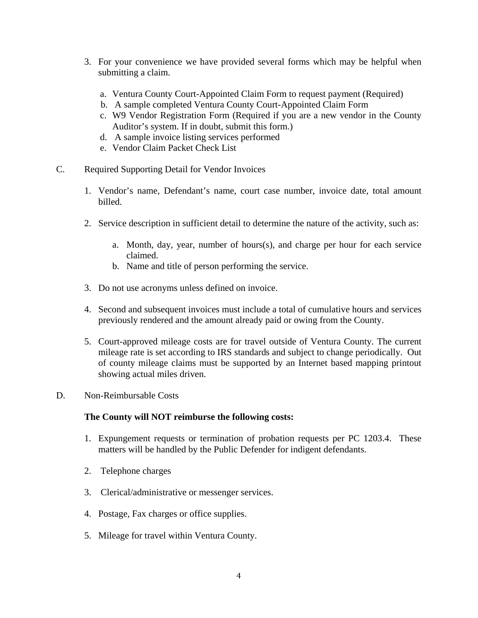- 3. For your convenience we have provided several forms which may be helpful when submitting a claim.
	- a. Ventura County Court-Appointed Claim Form to request payment (Required)
	- b. A sample completed Ventura County Court-Appointed Claim Form
	- c. W9 Vendor Registration Form (Required if you are a new vendor in the County Auditor's system. If in doubt, submit this form.)
	- d. A sample invoice listing services performed
	- e. Vendor Claim Packet Check List
- C. Required Supporting Detail for Vendor Invoices
	- 1. Vendor's name, Defendant's name, court case number, invoice date, total amount billed.
	- 2. Service description in sufficient detail to determine the nature of the activity, such as:
		- a. Month, day, year, number of hours(s), and charge per hour for each service claimed.
		- b. Name and title of person performing the service.
	- 3. Do not use acronyms unless defined on invoice.
	- 4. Second and subsequent invoices must include a total of cumulative hours and services previously rendered and the amount already paid or owing from the County.
	- 5. Court-approved mileage costs are for travel outside of Ventura County. The current mileage rate is set according to IRS standards and subject to change periodically. Out of county mileage claims must be supported by an Internet based mapping printout showing actual miles driven.
- D. Non-Reimbursable Costs

#### **The County will NOT reimburse the following costs:**

- 1. Expungement requests or termination of probation requests per PC 1203.4. These matters will be handled by the Public Defender for indigent defendants.
- 2. Telephone charges
- 3. Clerical/administrative or messenger services.
- 4. Postage, Fax charges or office supplies.
- 5. Mileage for travel within Ventura County.